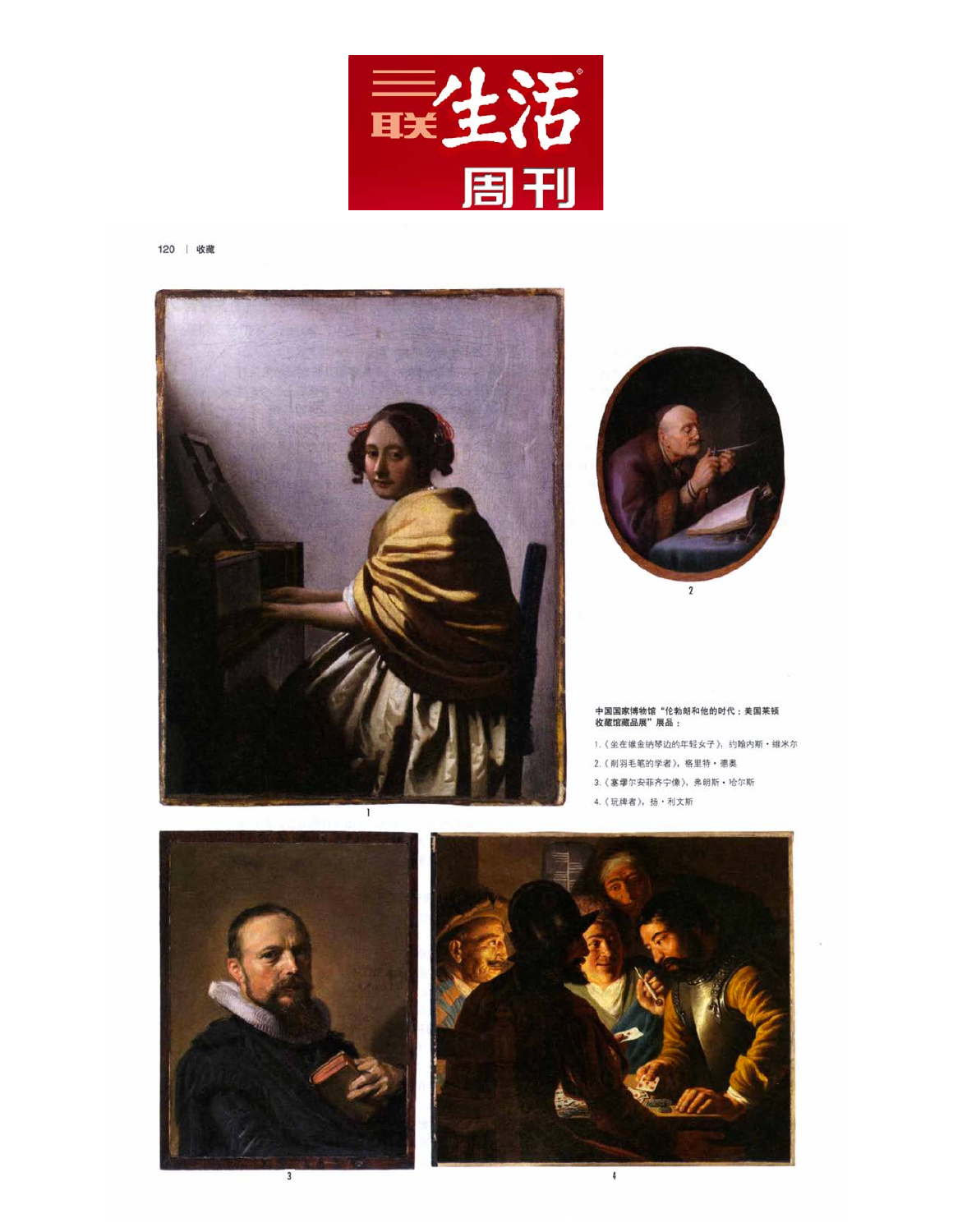

120 | 收藏







 $\overline{4}$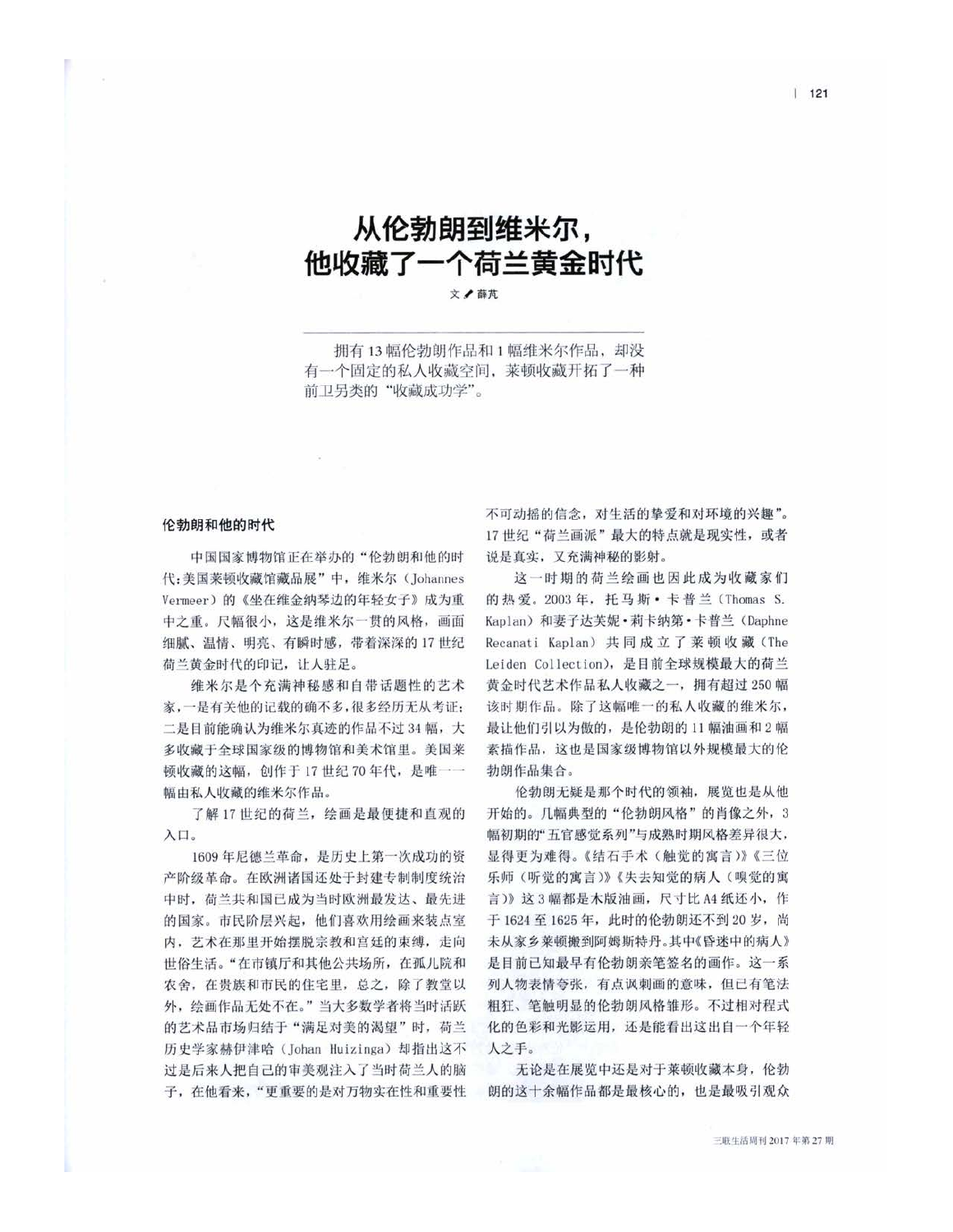## 从伦勃朗到维米尔, 他收藏了一个荷兰黄金时代

文/薛芃

拥有13幅伦勃朗作品和1幅维米尔作品,却没 有一个固定的私人收藏空间, 莱顿收藏开拓了一种 前卫另类的"收藏成功学"。

## 伦勃朗和他的时代

中国国家博物馆正在举办的"伦勃朗和他的时 代:美国莱顿收藏馆藏品展"中, 维米尔 (Johannes Vermeer)的《坐在维金纳琴边的年轻女子》成为重 中之重。尺幅很小, 这是维米尔一贯的风格, 画面 细腻、温情、明亮、有瞬时感, 带着深深的 17 世纪 荷兰黄金时代的印记, 让人驻足。

维米尔是个充满神秘感和自带话题性的艺术 家,一是有关他的记载的确不多,很多经历无从考证: 二是目前能确认为维米尔真迹的作品不过34幅,大 多收藏于全球国家级的博物馆和美术馆里。美国莱 顿收藏的这幅, 创作于17世纪70年代, 是唯一一 幅由私人收藏的维米尔作品。

了解17世纪的荷兰,绘画是最便捷和直观的 入口。

1609年尼德兰革命, 是历史上第一次成功的资 产阶级革命。在欧洲诸国还处于封建专制制度统治 中时, 荷兰共和国己成为当时欧洲最发达、最先进 的国家。市民阶层兴起,他们喜欢用绘画来装点室 内,艺术在那里开始摆脱宗教和宫廷的束缚,走向 世俗生活。"在市镇厅和其他公共场所, 在孤儿院和 农舍, 在贵族和市民的住宅里, 总之, 除了教堂以 外, 绘画作品无处不在。"当大多数学者将当时活跃 的艺术品市场归结于"满足对美的渴望"时, 荷兰 历史学家赫伊津哈 (Johan Huizinga) 却指出这不 过是后来人把自己的审美观注入了当时荷兰人的脑 子, 在他看来, "更重要的是对万物实在性和重要性 不可动摇的信念, 对生活的挚爱和对环境的兴趣"。 17世纪"荷兰画派"最大的特点就是现实性,或者 说是真实,又充满神秘的影射。

这一时期的荷兰绘画也因此成为收藏家们 的热爱。2003年, 托马斯·卡普兰(Thomas S. Kaplan)和妻子达芙妮·莉卡纳第·卡普兰 (Daphne Recanati Kaplan) 共同成立了莱顿收藏(The Leiden Collection), 是目前全球规模最大的荷兰 黄金时代艺术作品私人收藏之一, 拥有超过 250 幅 该时期作品。除了这幅唯一的私人收藏的维米尔, 最让他们引以为傲的, 是伦勃朗的 11 幅油画和2幅 素描作品, 这也是国家级博物馆以外规模最大的伦 勃朗作品集合。

伦勃朗无疑是那个时代的领袖, 展览也是从他 开始的。几幅典型的"伦勃朗风格"的肖像之外, 3 幅初期的"五官感觉系列"与成熟时期风格差异很大, 显得更为难得。《结石手术(触觉的寓言)》《三位 乐师(听觉的寓言)》《失去知觉的病人(嗅觉的寓 言)》这3幅都是木版油画, 尺寸比 A4 纸还小, 作 于 1624至 1625年, 此时的伦勃朗还不到 20岁, 尚 未从家乡莱顿搬到阿姆斯特丹。其中《昏迷中的病人》 是目前已知最早有伦勃朗亲笔签名的画作。这一系 列人物表情夸张, 有点讽刺画的意味, 但己有笔法 粗狂、笔触明显的伦勃朗风格雏形。不过相对程式 化的色彩和光影运用, 还是能看出这出自一个年轻 人之手。

无论是在展览中还是对于莱顿收藏本身, 伦勃 朗的这十余幅作品都是最核心的, 也是最吸引观众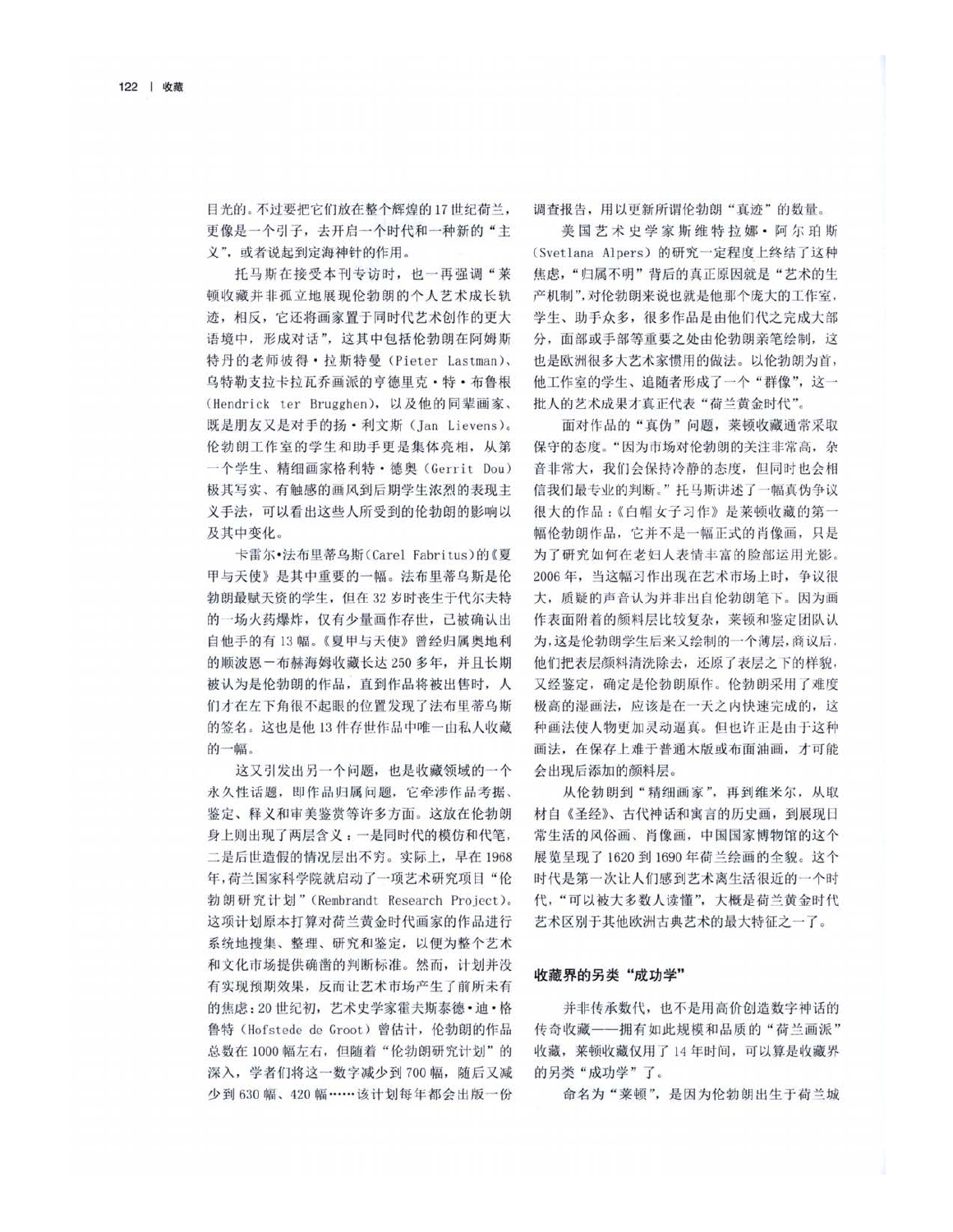目光的。不过要把它们放在整个辉煌的17世纪荷兰, 更像是一个引子,去开启一个时代和一种新的"主 义", 或者说起到定海神针的作用。

托马斯在接受本刊专访时, 也一再强调"莱 顿收藏并非孤立地展现伦勃朗的个人艺术成长轨 迹, 相反, 它还将画家置于同时代艺术创作的更大 语境中,形成对话",这其中包括伦勃朗在阿姆斯 特丹的老师彼得·拉斯特曼 (Pieter Lastman)、 乌特勒支拉卡拉瓦乔画派的亨德里克·特·布鲁根 (Hendrick ter Brugghen), 以及他的同辈画家、 既是朋友又是对手的扬·利文斯(Jan Lievens)。 伦勃朗工作室的学生和助手更是集体亮相, 从第 一个学生、精细画家格利特·德奥(Gerrit Dou) 极其写实、有触感的画风到后期学生浓烈的表现主 义手法, 可以看出这些人所受到的伦勃朗的影响以 及其中变化。

卡雷尔·法布里蒂乌斯(Carel Fabritus)的《夏 甲与天使》是其中重要的一幅。法布里蒂乌斯是伦 勃朗最赋天资的学生,但在32岁时丧生于代尔夫特 的一场火药爆炸, 仅有少量画作存世, 已被确认出 自他手的有13幅。《夏甲与天使》曾经归属奥地利 的顺波恩一布赫海姆收藏长达 250 多年,并且长期 被认为是伦勃朗的作品,直到作品将被出售时,人 们才在左下角很不起眼的位置发现了法布里蒂乌斯 的签名。这也是他13件存世作品中唯一由私人收藏 的一幅。

这又引发出另一个问题,也是收藏领域的一个 永久性话题, 即作品归属问题, 它牵涉作品考据、 鉴定、释义和审美鉴赏等许多方面。这放在伦勃朗 身上则出现了两层含义:一是同时代的模仿和代笔, 二是后世造假的情况层出不穷。实际上, 早在1968 年, 荷兰国家科学院就启动了一项艺术研究项目"伦 勃朗研究计划"(Rembrandt Research Project)。 这项计划原本打算对荷兰黄金时代画家的作品进行 系统地搜集、整理、研究和鉴定, 以便为整个艺术 和文化市场提供确凿的判断标准。然而, 计划并没 有实现预期效果, 反而让艺术市场产生了前所未有 的焦虑: 20世纪初, 艺术史学家霍夫斯泰德·迪·格 鲁特 (Hofstede de Groot) 曾估计, 伦勃朗的作品 总数在1000幅左右,但随着"伦勃朗研究计划"的 深入, 学者们将这一数字减少到700幅, 随后又减 少到 630 幅、420 幅……该计划每年都会出版一份

调查报告, 用以更新所谓伦勃朗"真迹"的数量。

美国艺术史学家斯维特拉娜 · 阿尔珀斯 (Svetlana Alpers) 的研究一定程度上终结了这种 焦虑,"归属不明"背后的真正原因就是"艺术的生 产机制",对伦勃朗来说也就是他那个庞大的工作室, 学生、助手众多, 很多作品是由他们代之完成大部 分, 面部或手部等重要之处由伦勃朗亲笔绘制, 这 也是欧洲很多大艺术家惯用的做法。以伦勃朗为首, 他工作室的学生、追随者形成了一个"群像",这一 批人的艺术成果才真正代表"荷兰黄金时代"。

面对作品的"真伪"问题, 莱顿收藏通常采取 保守的态度。"因为市场对伦勃朗的关注非常高, 杂 音非常大, 我们会保持冷静的态度, 但同时也会相 信我们最专业的判断。"托马斯讲述了一幅真伪争议 很大的作品:《白帽女子习作》是莱顿收藏的第一 幅伦勃朗作品, 它并不是一幅正式的肖像画, 只是 为了研究如何在老妇人表情丰富的脸部运用光影。 2006年, 当这幅习作出现在艺术市场上时, 争议很 大, 质疑的声音认为并非出自伦勃朗笔下。因为画 作表面附着的颜料层比较复杂, 莱顿和鉴定团队认 为,这是伦勃朗学生后来又绘制的一个薄层,商议后, 他们把表层颜料清洗除去, 还原了表层之下的样貌, 又经鉴定, 确定是伦勃朗原作。伦勃朗采用了难度 极高的湿画法, 应该是在一天之内快速完成的, 这 种画法使人物更加灵动逼真。但也许正是由于这种 画法, 在保存上难于普通木版或布面油画, 才可能 会出现后添加的颜料层。

从伦勃朗到"精细画家",再到维米尔,从取 材自《圣经》、古代神话和寓言的历史画, 到展现日 常生活的风俗画、肖像画,中国国家博物馆的这个 展览呈现了1620 到1690年荷兰绘画的全貌。这个 时代是第一次让人们感到艺术离生活很近的一个时 代,"可以被大多数人读懂",大概是荷兰黄金时代 艺术区别于其他欧洲古典艺术的最大特征之一了。

## 收藏界的另类"成功学"

并非传承数代, 也不是用高价创造数字神话的 传奇收藏——拥有如此规模和品质的"荷兰画派" 收藏, 莱顿收藏仅用了14年时间, 可以算是收藏界 的另类"成功学"了。

命名为"莱顿", 是因为伦勃朗出生于荷兰城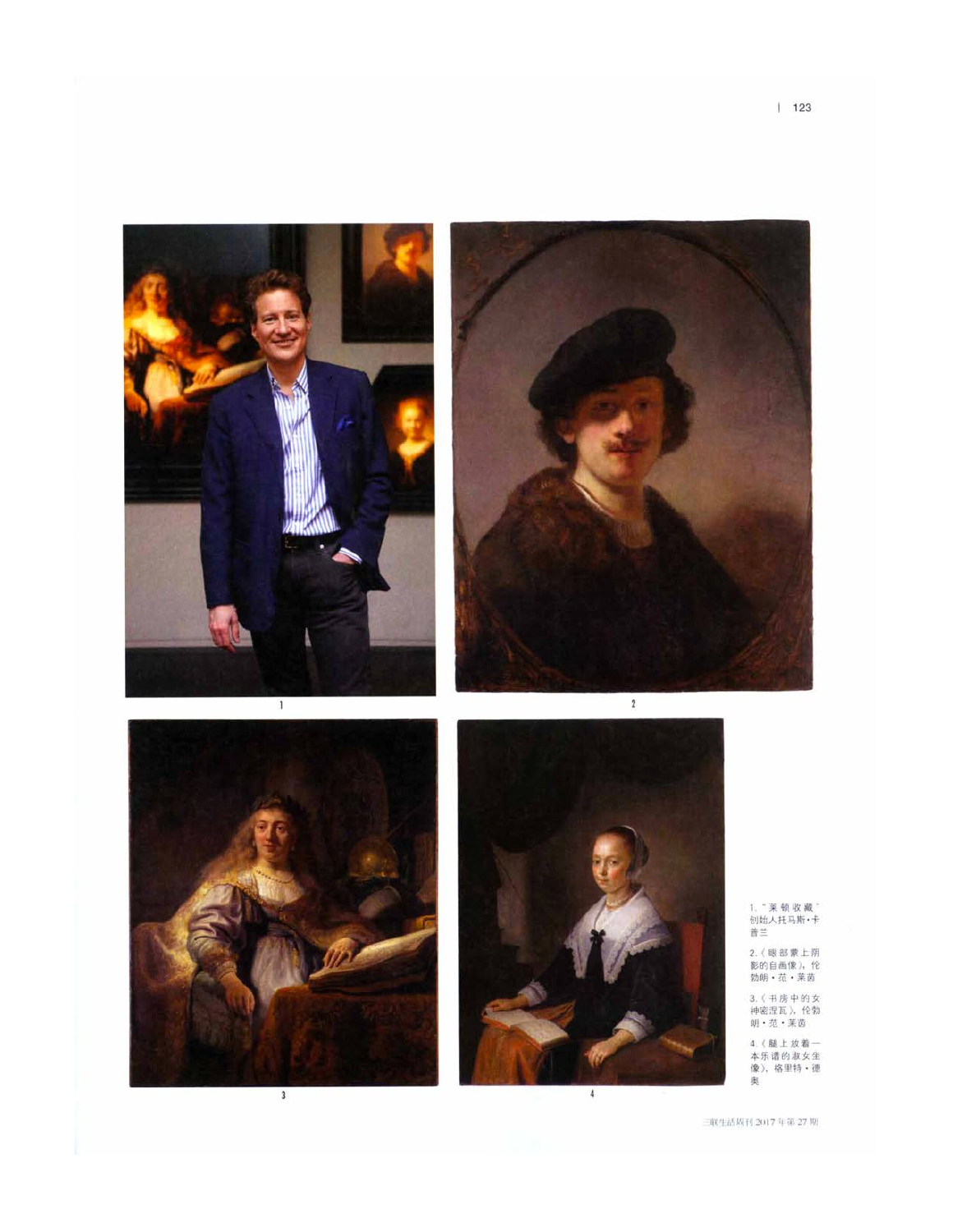







1." 莱顿 收 藏 "<br>创始人托马斯•卡<br>普兰

2. (眼部蒙上阴<br>影的自画像), 伦<br>勃明・范・莱茵

3. (书房中的女<br>神密涅瓦), 伦勃<br>明·范·莱茵

4. (腿上放着一<br>本乐谱的淑女坐<br>像), 格里特 · 德 奥

现生活周刊 2017年第27期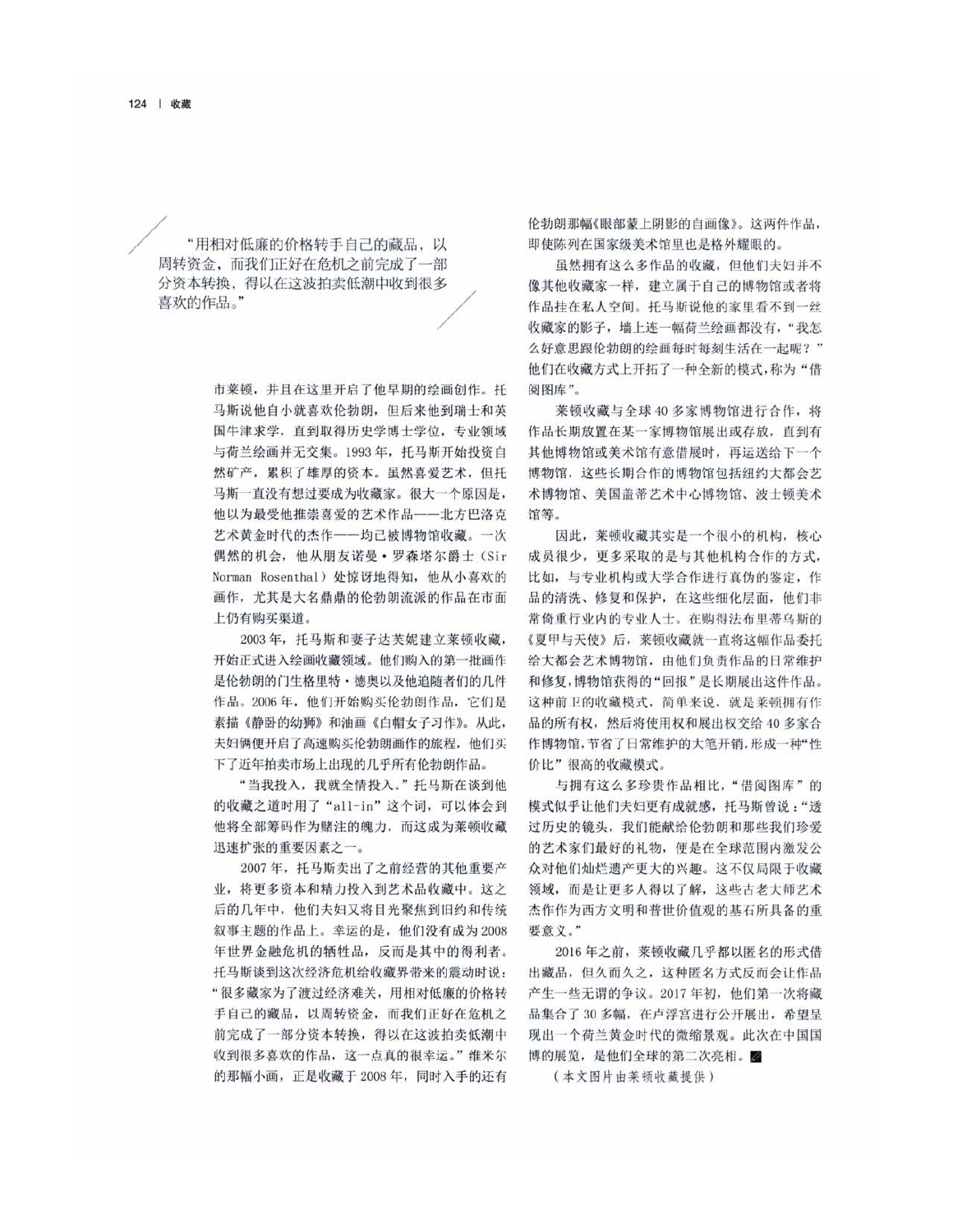"用相对低廉的价格转手自己的藏品,以 周转资金, 而我们正好在危机之前完成了一部 分资本转换, 得以在这波拍卖低潮中收到很多 喜欢的作品。"

> 市莱顿, 并且在这里开启了他早期的绘画创作。托 马斯说他自小就喜欢伦勃朗, 但后来他到瑞士和英 国牛津求学, 直到取得历史学博士学位, 专业领域 与荷兰绘画并无交集。1993年, 托马斯开始投资自 然矿产,累积了雄厚的资本。虽然喜爱艺术,但托 马斯一直没有想过要成为收藏家。很大一个原因是, 他以为最受他推崇喜爱的艺术作品---北方巴洛克 艺术黄金时代的杰作——均已被博物馆收藏。一次 偶然的机会, 他从朋友诺曼·罗森塔尔爵士(Sir Norman Rosenthal) 处惊讶地得知, 他从小喜欢的 画作, 尤其是大名鼎鼎的伦勃朗流派的作品在市面 上仍有购买渠道。

> 2003年, 托马斯和妻子达芙妮建立莱顿收藏, 开始正式进入绘画收藏领域。他们购入的第一批画作 是伦勃朗的门生格里特·德奥以及他追随者们的几件 作品。2006年,他们开始购买伦勃朗作品,它们是 素描《静卧的幼狮》和油画《白帽女子习作》。从此, 夫妇俩便开启了高速购买伦勃朗画作的旅程, 他们买 下了近年拍卖市场上出现的几乎所有伦勃朗作品。

> "当我投入, 我就全情投入。"托马斯在谈到他 的收藏之道时用了"all-in"这个词,可以体会到 他将全部筹码作为赌注的魄力, 而这成为莱顿收藏 迅速扩张的重要因素之一。

> 2007年, 托马斯卖出了之前经营的其他重要产 业,将更多资本和精力投入到艺术品收藏中。这之 后的几年中, 他们夫妇又将目光聚焦到旧约和传统 叙事主题的作品上。幸运的是,他们没有成为2008 年世界金融危机的牺牲品, 反而是其中的得利者。 托马斯谈到这次经济危机给收藏界带来的震动时说: "很多藏家为了渡过经济难关,用相对低廉的价格转 手自己的藏品, 以周转资金, 而我们正好在危机之 前完成了一部分资本转换, 得以在这波拍卖低潮中 收到很多喜欢的作品,这一点真的很幸运。"维米尔 的那幅小画,正是收藏于2008年,同时入手的还有

伦勃朗那幅《眼部蒙上阴影的自画像》。这两件作品, 即使陈列在国家级美术馆里也是格外耀眼的。

虽然拥有这么多作品的收藏, 但他们夫妇并不 像其他收藏家一样, 建立属于自己的博物馆或者将 作品挂在私人空间。托马斯说他的家里看不到一丝 收藏家的影子,墙上连一幅荷兰绘画都没有,"我怎 么好意思跟伦勃朗的绘画每时每刻生活在一起呢?" 他们在收藏方式上开拓了一种全新的模式, 称为"借 阅图库"。

莱顿收藏与全球40多家博物馆进行合作,将 作品长期放置在某一家博物馆展出或存放, 直到有 其他博物馆或美术馆有意借展时, 再运送给下一个 博物馆,这些长期合作的博物馆包括纽约大都会艺 术博物馆、美国盖蒂艺术中心博物馆、波士顿美术 馆笔。

因此, 莱顿收藏其实是一个很小的机构, 核心 成员很少,更多采取的是与其他机构合作的方式, 比如, 与专业机构或大学合作讲行真伪的鉴定, 作 品的清洗、修复和保护, 在这些细化层面, 他们非 常倚重行业内的专业人士。在购得法布里蒂乌斯的 《夏甲与天使》后, 莱顿收藏就一直将这幅作品委托 给大都会艺术博物馆, 由他们负责作品的日常维护 和修复,博物馆获得的"回报"是长期展出这件作品。 这种前卫的收藏模式,简单来说,就是莱顿拥有作 品的所有权, 然后将使用权和展出权交给 40 多家合 作博物馆,节省了日常维护的大笔开销,形成一种"性 价比"很高的收藏模式。

与拥有这么多珍贵作品相比,"借阅图库"的 模式似乎让他们夫妇更有成就感, 托马斯曾说:"透 过历史的镜头, 我们能献给伦勃朗和那些我们珍爱 的艺术家们最好的礼物, 便是在全球范围内激发公 众对他们灿烂遗产更大的兴趣。这不仅局限于收藏 领域, 而是让更多人得以了解, 这些古老大师艺术 杰作作为西方文明和普世价值观的基石所具备的重 要意义。"

2016年之前, 莱顿收藏几乎都以匿名的形式借 出藏品, 但久而久之, 这种匿名方式反而会让作品 产生一些无谓的争议。2017年初, 他们第一次将藏 品集合了30多幅, 在卢浮宫进行公开展出, 希望呈 现出一个荷兰黄金时代的微缩景观。此次在中国国 博的展览, 是他们全球的第二次亮相。2

(本文图片由莱顿收藏提供)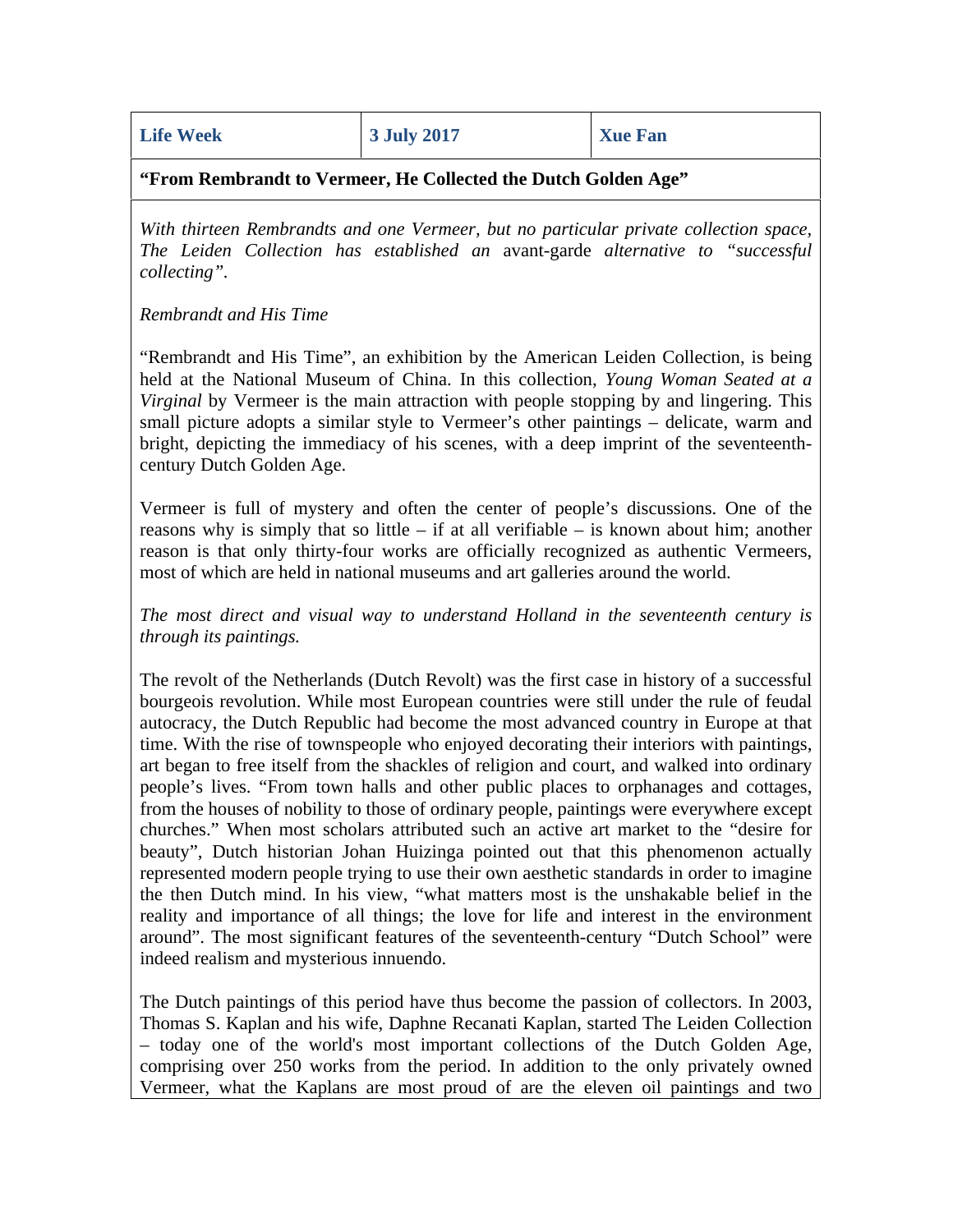**"From Rembrandt to Vermeer, He Collected the Dutch Golden Age"**

*With thirteen Rembrandts and one Vermeer, but no particular private collection space, The Leiden Collection has established an* avant-garde *alternative to "successful collecting".*

*Rembrandt and His Time*

"Rembrandt and His Time", an exhibition by the American Leiden Collection, is being held at the National Museum of China. In this collection, *Young Woman Seated at a Virginal* by Vermeer is the main attraction with people stopping by and lingering. This small picture adopts a similar style to Vermeer's other paintings – delicate, warm and bright, depicting the immediacy of his scenes, with a deep imprint of the seventeenthcentury Dutch Golden Age.

Vermeer is full of mystery and often the center of people's discussions. One of the reasons why is simply that so little – if at all verifiable – is known about him; another reason is that only thirty-four works are officially recognized as authentic Vermeers, most of which are held in national museums and art galleries around the world.

*The most direct and visual way to understand Holland in the seventeenth century is through its paintings.*

The revolt of the Netherlands (Dutch Revolt) was the first case in history of a successful bourgeois revolution. While most European countries were still under the rule of feudal autocracy, the Dutch Republic had become the most advanced country in Europe at that time. With the rise of townspeople who enjoyed decorating their interiors with paintings, art began to free itself from the shackles of religion and court, and walked into ordinary people's lives. "From town halls and other public places to orphanages and cottages, from the houses of nobility to those of ordinary people, paintings were everywhere except churches." When most scholars attributed such an active art market to the "desire for beauty", Dutch historian Johan Huizinga pointed out that this phenomenon actually represented modern people trying to use their own aesthetic standards in order to imagine the then Dutch mind. In his view, "what matters most is the unshakable belief in the reality and importance of all things; the love for life and interest in the environment around". The most significant features of the seventeenth-century "Dutch School" were indeed realism and mysterious innuendo.

The Dutch paintings of this period have thus become the passion of collectors. In 2003, Thomas S. Kaplan and his wife, Daphne Recanati Kaplan, started The Leiden Collection – today one of the world's most important collections of the Dutch Golden Age, comprising over 250 works from the period. In addition to the only privately owned Vermeer, what the Kaplans are most proud of are the eleven oil paintings and two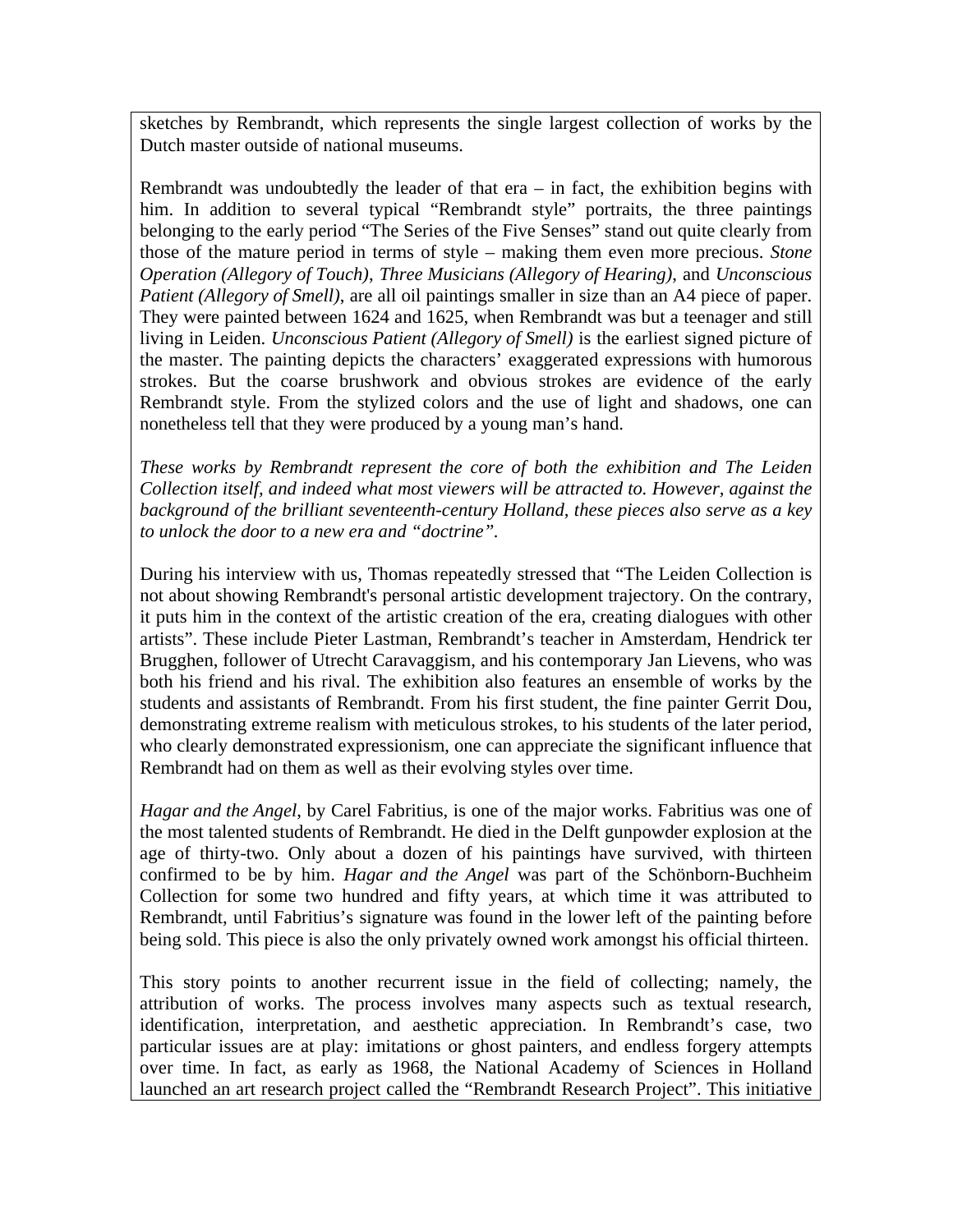sketches by Rembrandt, which represents the single largest collection of works by the Dutch master outside of national museums.

Rembrandt was undoubtedly the leader of that  $era - in$  fact, the exhibition begins with him. In addition to several typical "Rembrandt style" portraits, the three paintings belonging to the early period "The Series of the Five Senses" stand out quite clearly from those of the mature period in terms of style – making them even more precious. *Stone Operation (Allegory of Touch)*, *Three Musicians (Allegory of Hearing)*, and *Unconscious Patient (Allegory of Smell)*, are all oil paintings smaller in size than an A4 piece of paper. They were painted between 1624 and 1625, when Rembrandt was but a teenager and still living in Leiden. *Unconscious Patient (Allegory of Smell)* is the earliest signed picture of the master. The painting depicts the characters' exaggerated expressions with humorous strokes. But the coarse brushwork and obvious strokes are evidence of the early Rembrandt style. From the stylized colors and the use of light and shadows, one can nonetheless tell that they were produced by a young man's hand.

*These works by Rembrandt represent the core of both the exhibition and The Leiden Collection itself, and indeed what most viewers will be attracted to. However, against the background of the brilliant seventeenth-century Holland, these pieces also serve as a key to unlock the door to a new era and "doctrine".*

During his interview with us, Thomas repeatedly stressed that "The Leiden Collection is not about showing Rembrandt's personal artistic development trajectory. On the contrary, it puts him in the context of the artistic creation of the era, creating dialogues with other artists". These include Pieter Lastman, Rembrandt's teacher in Amsterdam, Hendrick ter Brugghen, follower of Utrecht Caravaggism, and his contemporary Jan Lievens, who was both his friend and his rival. The exhibition also features an ensemble of works by the students and assistants of Rembrandt. From his first student, the fine painter Gerrit Dou, demonstrating extreme realism with meticulous strokes, to his students of the later period, who clearly demonstrated expressionism, one can appreciate the significant influence that Rembrandt had on them as well as their evolving styles over time.

*Hagar and the Angel*, by Carel Fabritius, is one of the major works. Fabritius was one of the most talented students of Rembrandt. He died in the Delft gunpowder explosion at the age of thirty-two. Only about a dozen of his paintings have survived, with thirteen confirmed to be by him. *Hagar and the Angel* was part of the Schönborn-Buchheim Collection for some two hundred and fifty years, at which time it was attributed to Rembrandt, until Fabritius's signature was found in the lower left of the painting before being sold. This piece is also the only privately owned work amongst his official thirteen.

This story points to another recurrent issue in the field of collecting; namely, the attribution of works. The process involves many aspects such as textual research, identification, interpretation, and aesthetic appreciation. In Rembrandt's case, two particular issues are at play: imitations or ghost painters, and endless forgery attempts over time. In fact, as early as 1968, the National Academy of Sciences in Holland launched an art research project called the "Rembrandt Research Project". This initiative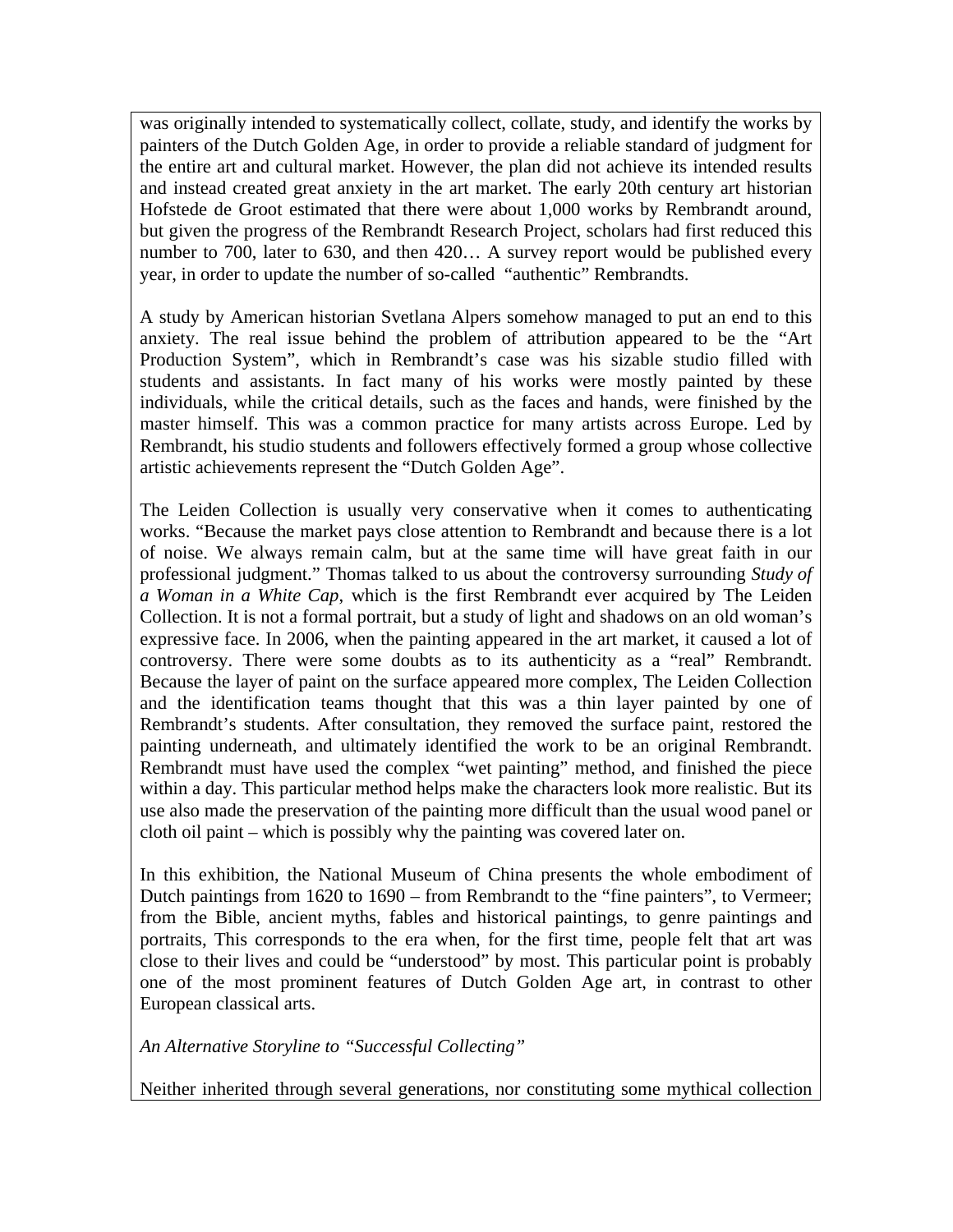was originally intended to systematically collect, collate, study, and identify the works by painters of the Dutch Golden Age, in order to provide a reliable standard of judgment for the entire art and cultural market. However, the plan did not achieve its intended results and instead created great anxiety in the art market. The early 20th century art historian Hofstede de Groot estimated that there were about 1,000 works by Rembrandt around, but given the progress of the Rembrandt Research Project, scholars had first reduced this number to 700, later to 630, and then 420… A survey report would be published every year, in order to update the number of so-called "authentic" Rembrandts.

A study by American historian Svetlana Alpers somehow managed to put an end to this anxiety. The real issue behind the problem of attribution appeared to be the "Art Production System", which in Rembrandt's case was his sizable studio filled with students and assistants. In fact many of his works were mostly painted by these individuals, while the critical details, such as the faces and hands, were finished by the master himself. This was a common practice for many artists across Europe. Led by Rembrandt, his studio students and followers effectively formed a group whose collective artistic achievements represent the "Dutch Golden Age".

The Leiden Collection is usually very conservative when it comes to authenticating works. "Because the market pays close attention to Rembrandt and because there is a lot of noise. We always remain calm, but at the same time will have great faith in our professional judgment." Thomas talked to us about the controversy surrounding *Study of a Woman in a White Cap*, which is the first Rembrandt ever acquired by The Leiden Collection. It is not a formal portrait, but a study of light and shadows on an old woman's expressive face. In 2006, when the painting appeared in the art market, it caused a lot of controversy. There were some doubts as to its authenticity as a "real" Rembrandt. Because the layer of paint on the surface appeared more complex, The Leiden Collection and the identification teams thought that this was a thin layer painted by one of Rembrandt's students. After consultation, they removed the surface paint, restored the painting underneath, and ultimately identified the work to be an original Rembrandt. Rembrandt must have used the complex "wet painting" method, and finished the piece within a day. This particular method helps make the characters look more realistic. But its use also made the preservation of the painting more difficult than the usual wood panel or cloth oil paint – which is possibly why the painting was covered later on.

In this exhibition, the National Museum of China presents the whole embodiment of Dutch paintings from 1620 to 1690 – from Rembrandt to the "fine painters", to Vermeer; from the Bible, ancient myths, fables and historical paintings, to genre paintings and portraits, This corresponds to the era when, for the first time, people felt that art was close to their lives and could be "understood" by most. This particular point is probably one of the most prominent features of Dutch Golden Age art, in contrast to other European classical arts.

*An Alternative Storyline to "Successful Collecting"*

Neither inherited through several generations, nor constituting some mythical collection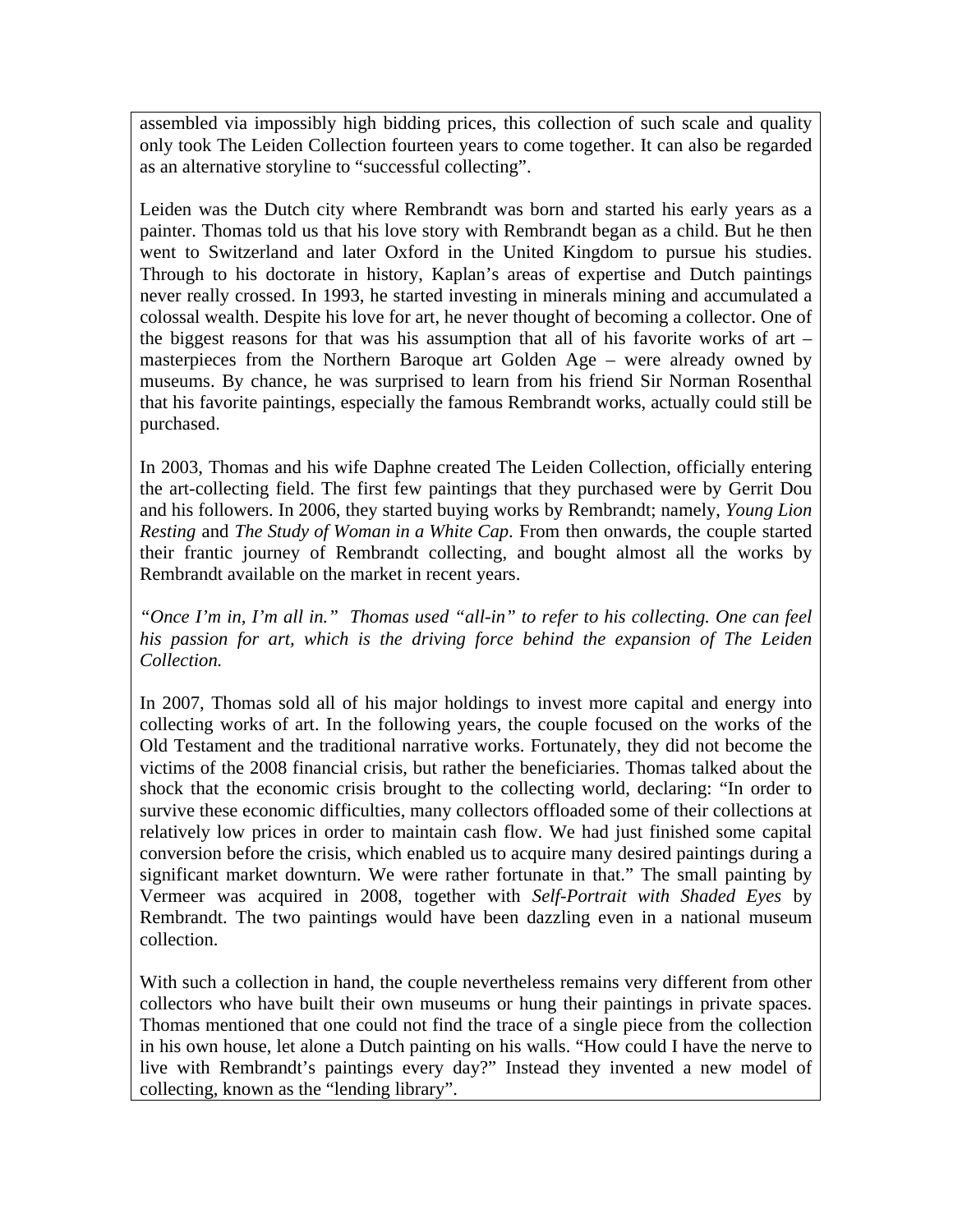assembled via impossibly high bidding prices, this collection of such scale and quality only took The Leiden Collection fourteen years to come together. It can also be regarded as an alternative storyline to "successful collecting".

Leiden was the Dutch city where Rembrandt was born and started his early years as a painter. Thomas told us that his love story with Rembrandt began as a child. But he then went to Switzerland and later Oxford in the United Kingdom to pursue his studies. Through to his doctorate in history, Kaplan's areas of expertise and Dutch paintings never really crossed. In 1993, he started investing in minerals mining and accumulated a colossal wealth. Despite his love for art, he never thought of becoming a collector. One of the biggest reasons for that was his assumption that all of his favorite works of art  $$ masterpieces from the Northern Baroque art Golden Age – were already owned by museums. By chance, he was surprised to learn from his friend Sir Norman Rosenthal that his favorite paintings, especially the famous Rembrandt works, actually could still be purchased.

In 2003, Thomas and his wife Daphne created The Leiden Collection, officially entering the art-collecting field. The first few paintings that they purchased were by Gerrit Dou and his followers. In 2006, they started buying works by Rembrandt; namely, *Young Lion Resting* and *The Study of Woman in a White Cap*. From then onwards, the couple started their frantic journey of Rembrandt collecting, and bought almost all the works by Rembrandt available on the market in recent years.

*"Once I'm in, I'm all in." Thomas used "all-in" to refer to his collecting. One can feel*  his passion for art, which is the driving force behind the expansion of The Leiden *Collection.*

In 2007, Thomas sold all of his major holdings to invest more capital and energy into collecting works of art. In the following years, the couple focused on the works of the Old Testament and the traditional narrative works. Fortunately, they did not become the victims of the 2008 financial crisis, but rather the beneficiaries. Thomas talked about the shock that the economic crisis brought to the collecting world, declaring: "In order to survive these economic difficulties, many collectors offloaded some of their collections at relatively low prices in order to maintain cash flow. We had just finished some capital conversion before the crisis, which enabled us to acquire many desired paintings during a significant market downturn. We were rather fortunate in that." The small painting by Vermeer was acquired in 2008, together with *Self-Portrait with Shaded Eyes* by Rembrandt. The two paintings would have been dazzling even in a national museum collection.

With such a collection in hand, the couple nevertheless remains very different from other collectors who have built their own museums or hung their paintings in private spaces. Thomas mentioned that one could not find the trace of a single piece from the collection in his own house, let alone a Dutch painting on his walls. "How could I have the nerve to live with Rembrandt's paintings every day?" Instead they invented a new model of collecting, known as the "lending library".